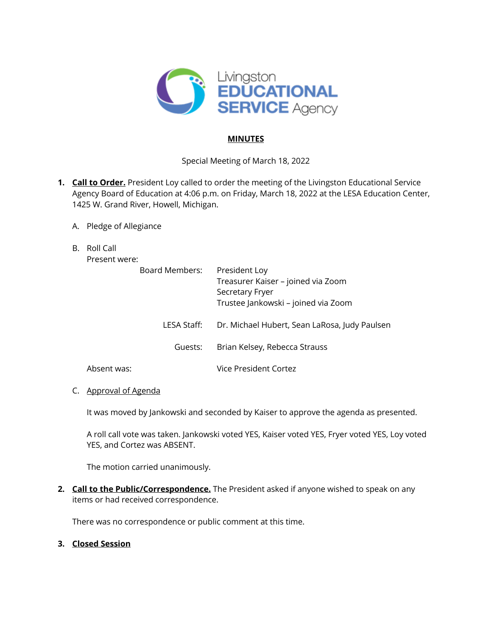

### **MINUTES**

Special Meeting of March 18, 2022

- **1. Call to Order.** President Loy called to order the meeting of the Livingston Educational Service Agency Board of Education at 4:06 p.m. on Friday, March 18, 2022 at the LESA Education Center, 1425 W. Grand River, Howell, Michigan.
	- A. Pledge of Allegiance
	- B. Roll Call

Present were:

| Board Members: | President Loy<br>Treasurer Kaiser - joined via Zoom<br>Secretary Fryer<br>Trustee Jankowski – joined via Zoom |
|----------------|---------------------------------------------------------------------------------------------------------------|
| LESA Staff:    | Dr. Michael Hubert, Sean LaRosa, Judy Paulsen                                                                 |
| Guests:        | Brian Kelsey, Rebecca Strauss                                                                                 |
|                | Vice President Cortez                                                                                         |

### C. Approval of Agenda

Absent was:

It was moved by Jankowski and seconded by Kaiser to approve the agenda as presented.

A roll call vote was taken. Jankowski voted YES, Kaiser voted YES, Fryer voted YES, Loy voted YES, and Cortez was ABSENT.

The motion carried unanimously.

**2. Call to the Public/Correspondence.** The President asked if anyone wished to speak on any items or had received correspondence.

There was no correspondence or public comment at this time.

# **3. Closed Session**